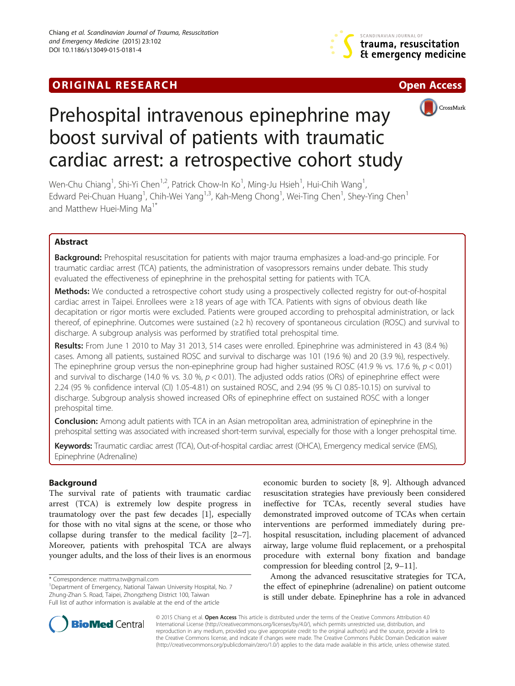## **ORIGINAL RESEARCH CONFIDENTIAL CONSUMING A LIGHT CONFIDENTIAL CONSUMING A LIGHT CONFIDENTIAL CONFIDENTIAL CONSU**







# Prehospital intravenous epinephrine may boost survival of patients with traumatic cardiac arrest: a retrospective cohort study

Wen-Chu Chiang<sup>1</sup>, Shi-Yi Chen<sup>1,2</sup>, Patrick Chow-In Ko<sup>1</sup>, Ming-Ju Hsieh<sup>1</sup>, Hui-Chih Wang<sup>1</sup> , Edward Pei-Chuan Huang<sup>1</sup>, Chih-Wei Yang<sup>1,3</sup>, Kah-Meng Chong<sup>1</sup>, Wei-Ting Chen<sup>1</sup>, Shey-Ying Chen<sup>1</sup> and Matthew Huei-Ming Ma<sup>1\*</sup>

## Abstract

Background: Prehospital resuscitation for patients with major trauma emphasizes a load-and-go principle. For traumatic cardiac arrest (TCA) patients, the administration of vasopressors remains under debate. This study evaluated the effectiveness of epinephrine in the prehospital setting for patients with TCA.

Methods: We conducted a retrospective cohort study using a prospectively collected registry for out-of-hospital cardiac arrest in Taipei. Enrollees were ≥18 years of age with TCA. Patients with signs of obvious death like decapitation or rigor mortis were excluded. Patients were grouped according to prehospital administration, or lack thereof, of epinephrine. Outcomes were sustained (≥2 h) recovery of spontaneous circulation (ROSC) and survival to discharge. A subgroup analysis was performed by stratified total prehospital time.

Results: From June 1 2010 to May 31 2013, 514 cases were enrolled. Epinephrine was administered in 43 (8.4 %) cases. Among all patients, sustained ROSC and survival to discharge was 101 (19.6 %) and 20 (3.9 %), respectively. The epinephrine group versus the non-epinephrine group had higher sustained ROSC (41.9 % vs. 17.6 %,  $p < 0.01$ ) and survival to discharge (14.0 % vs. 3.0 %,  $p < 0.01$ ). The adjusted odds ratios (ORs) of epinephrine effect were 2.24 (95 % confidence interval (CI) 1.05-4.81) on sustained ROSC, and 2.94 (95 % CI 0.85-10.15) on survival to discharge. Subgroup analysis showed increased ORs of epinephrine effect on sustained ROSC with a longer prehospital time.

**Conclusion:** Among adult patients with TCA in an Asian metropolitan area, administration of epinephrine in the prehospital setting was associated with increased short-term survival, especially for those with a longer prehospital time.

Keywords: Traumatic cardiac arrest (TCA), Out-of-hospital cardiac arrest (OHCA), Emergency medical service (EMS), Epinephrine (Adrenaline)

## Background

The survival rate of patients with traumatic cardiac arrest (TCA) is extremely low despite progress in traumatology over the past few decades [[1\]](#page-6-0), especially for those with no vital signs at the scene, or those who collapse during transfer to the medical facility [\[2](#page-6-0)–[7](#page-6-0)]. Moreover, patients with prehospital TCA are always younger adults, and the loss of their lives is an enormous

<sup>&</sup>lt;sup>1</sup> Department of Emergency, National Taiwan University Hospital, No. 7 Zhung-Zhan S. Road, Taipei, Zhongzheng District 100, Taiwan Full list of author information is available at the end of the article



Among the advanced resuscitative strategies for TCA, the effect of epinephrine (adrenaline) on patient outcome is still under debate. Epinephrine has a role in advanced



© 2015 Chiang et al. Open Access This article is distributed under the terms of the Creative Commons Attribution 4.0 International License [\(http://creativecommons.org/licenses/by/4.0/](http://creativecommons.org/licenses/by/4.0/)), which permits unrestricted use, distribution, and reproduction in any medium, provided you give appropriate credit to the original author(s) and the source, provide a link to the Creative Commons license, and indicate if changes were made. The Creative Commons Public Domain Dedication waiver [\(http://creativecommons.org/publicdomain/zero/1.0/](http://creativecommons.org/publicdomain/zero/1.0/)) applies to the data made available in this article, unless otherwise stated.

<sup>\*</sup> Correspondence: [mattma.tw@gmail.com](mailto:mattma.tw@gmail.com) <sup>1</sup>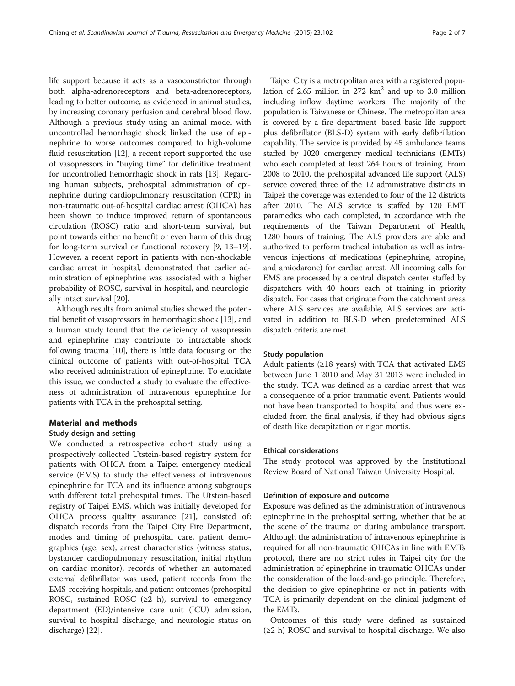life support because it acts as a vasoconstrictor through both alpha-adrenoreceptors and beta-adrenoreceptors, leading to better outcome, as evidenced in animal studies, by increasing coronary perfusion and cerebral blood flow. Although a previous study using an animal model with uncontrolled hemorrhagic shock linked the use of epinephrine to worse outcomes compared to high-volume fluid resuscitation [\[12\]](#page-6-0), a recent report supported the use of vasopressors in "buying time" for definitive treatment for uncontrolled hemorrhagic shock in rats [[13](#page-6-0)]. Regarding human subjects, prehospital administration of epinephrine during cardiopulmonary resuscitation (CPR) in non-traumatic out-of-hospital cardiac arrest (OHCA) has been shown to induce improved return of spontaneous circulation (ROSC) ratio and short-term survival, but point towards either no benefit or even harm of this drug for long-term survival or functional recovery [\[9](#page-6-0), [13](#page-6-0)–[19](#page-6-0)]. However, a recent report in patients with non-shockable cardiac arrest in hospital, demonstrated that earlier administration of epinephrine was associated with a higher probability of ROSC, survival in hospital, and neurologically intact survival [[20](#page-6-0)].

Although results from animal studies showed the potential benefit of vasopressors in hemorrhagic shock [\[13\]](#page-6-0), and a human study found that the deficiency of vasopressin and epinephrine may contribute to intractable shock following trauma [[10](#page-6-0)], there is little data focusing on the clinical outcome of patients with out-of-hospital TCA who received administration of epinephrine. To elucidate this issue, we conducted a study to evaluate the effectiveness of administration of intravenous epinephrine for patients with TCA in the prehospital setting.

#### Material and methods

## Study design and setting

We conducted a retrospective cohort study using a prospectively collected Utstein-based registry system for patients with OHCA from a Taipei emergency medical service (EMS) to study the effectiveness of intravenous epinephrine for TCA and its influence among subgroups with different total prehospital times. The Utstein-based registry of Taipei EMS, which was initially developed for OHCA process quality assurance [[21](#page-6-0)], consisted of: dispatch records from the Taipei City Fire Department, modes and timing of prehospital care, patient demographics (age, sex), arrest characteristics (witness status, bystander cardiopulmonary resuscitation, initial rhythm on cardiac monitor), records of whether an automated external defibrillator was used, patient records from the EMS-receiving hospitals, and patient outcomes (prehospital ROSC, sustained ROSC ( $\geq 2$  h), survival to emergency department (ED)/intensive care unit (ICU) admission, survival to hospital discharge, and neurologic status on discharge) [\[22\]](#page-6-0).

Taipei City is a metropolitan area with a registered population of 2.65 million in 272  $km^2$  and up to 3.0 million including inflow daytime workers. The majority of the population is Taiwanese or Chinese. The metropolitan area is covered by a fire department–based basic life support plus defibrillator (BLS-D) system with early defibrillation capability. The service is provided by 45 ambulance teams staffed by 1020 emergency medical technicians (EMTs) who each completed at least 264 hours of training. From 2008 to 2010, the prehospital advanced life support (ALS) service covered three of the 12 administrative districts in Taipei; the coverage was extended to four of the 12 districts after 2010. The ALS service is staffed by 120 EMT paramedics who each completed, in accordance with the requirements of the Taiwan Department of Health, 1280 hours of training. The ALS providers are able and authorized to perform tracheal intubation as well as intravenous injections of medications (epinephrine, atropine, and amiodarone) for cardiac arrest. All incoming calls for EMS are processed by a central dispatch center staffed by dispatchers with 40 hours each of training in priority dispatch. For cases that originate from the catchment areas where ALS services are available, ALS services are activated in addition to BLS-D when predetermined ALS dispatch criteria are met.

#### Study population

Adult patients (≥18 years) with TCA that activated EMS between June 1 2010 and May 31 2013 were included in the study. TCA was defined as a cardiac arrest that was a consequence of a prior traumatic event. Patients would not have been transported to hospital and thus were excluded from the final analysis, if they had obvious signs of death like decapitation or rigor mortis.

## Ethical considerations

The study protocol was approved by the Institutional Review Board of National Taiwan University Hospital.

## Definition of exposure and outcome

Exposure was defined as the administration of intravenous epinephrine in the prehospital setting, whether that be at the scene of the trauma or during ambulance transport. Although the administration of intravenous epinephrine is required for all non-traumatic OHCAs in line with EMTs protocol, there are no strict rules in Taipei city for the administration of epinephrine in traumatic OHCAs under the consideration of the load-and-go principle. Therefore, the decision to give epinephrine or not in patients with TCA is primarily dependent on the clinical judgment of the EMTs.

Outcomes of this study were defined as sustained (≥2 h) ROSC and survival to hospital discharge. We also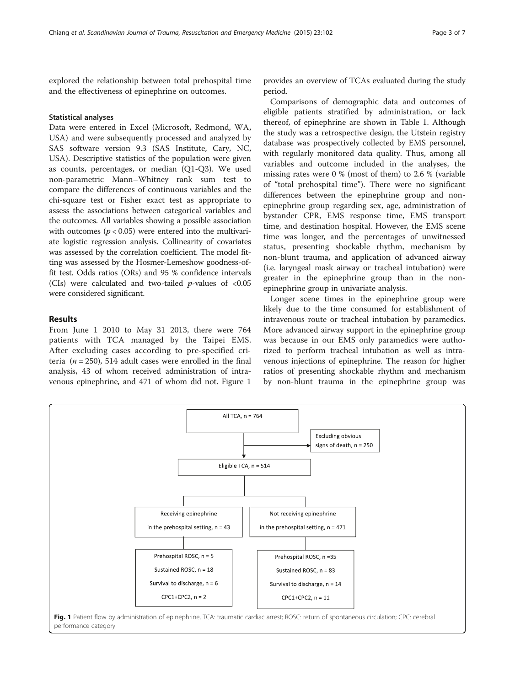explored the relationship between total prehospital time and the effectiveness of epinephrine on outcomes.

#### Statistical analyses

Data were entered in Excel (Microsoft, Redmond, WA, USA) and were subsequently processed and analyzed by SAS software version 9.3 (SAS Institute, Cary, NC, USA). Descriptive statistics of the population were given as counts, percentages, or median (Q1-Q3). We used non-parametric Mann–Whitney rank sum test to compare the differences of continuous variables and the chi-square test or Fisher exact test as appropriate to assess the associations between categorical variables and the outcomes. All variables showing a possible association with outcomes ( $p < 0.05$ ) were entered into the multivariate logistic regression analysis. Collinearity of covariates was assessed by the correlation coefficient. The model fitting was assessed by the Hosmer-Lemeshow goodness-offit test. Odds ratios (ORs) and 95 % confidence intervals (CIs) were calculated and two-tailed  $p$ -values of <0.05 were considered significant.

## Results

From June 1 2010 to May 31 2013, there were 764 patients with TCA managed by the Taipei EMS. After excluding cases according to pre-specified criteria ( $n = 250$ ), 514 adult cases were enrolled in the final analysis, 43 of whom received administration of intravenous epinephrine, and 471 of whom did not. Figure 1 provides an overview of TCAs evaluated during the study period.

Comparisons of demographic data and outcomes of eligible patients stratified by administration, or lack thereof, of epinephrine are shown in Table [1.](#page-3-0) Although the study was a retrospective design, the Utstein registry database was prospectively collected by EMS personnel, with regularly monitored data quality. Thus, among all variables and outcome included in the analyses, the missing rates were 0 % (most of them) to 2.6 % (variable of "total prehospital time"). There were no significant differences between the epinephrine group and nonepinephrine group regarding sex, age, administration of bystander CPR, EMS response time, EMS transport time, and destination hospital. However, the EMS scene time was longer, and the percentages of unwitnessed status, presenting shockable rhythm, mechanism by non-blunt trauma, and application of advanced airway (i.e. laryngeal mask airway or tracheal intubation) were greater in the epinephrine group than in the nonepinephrine group in univariate analysis.

Longer scene times in the epinephrine group were likely due to the time consumed for establishment of intravenous route or tracheal intubation by paramedics. More advanced airway support in the epinephrine group was because in our EMS only paramedics were authorized to perform tracheal intubation as well as intravenous injections of epinephrine. The reason for higher ratios of presenting shockable rhythm and mechanism by non-blunt trauma in the epinephrine group was

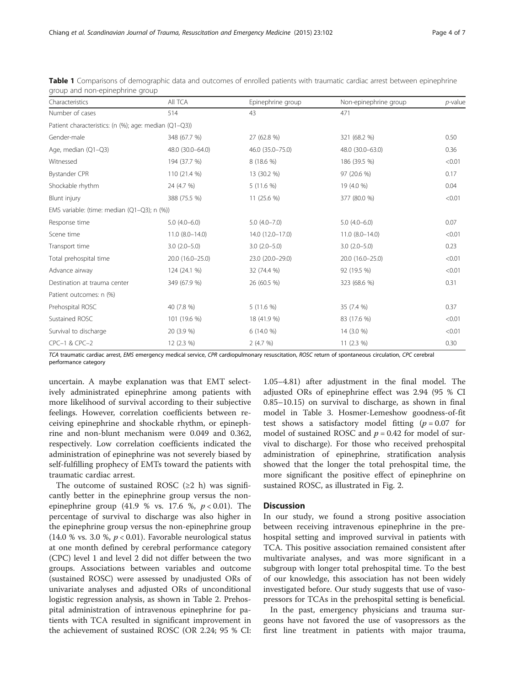| Characteristics                                       | All TCA             | Epinephrine group | Non-epinephrine group | $p$ -value |
|-------------------------------------------------------|---------------------|-------------------|-----------------------|------------|
| Number of cases                                       | 514                 | 43                | 471                   |            |
| Patient characteristics: (n (%); age: median (Q1-Q3)) |                     |                   |                       |            |
| Gender-male                                           | 348 (67.7 %)        | 27 (62.8 %)       | 321 (68.2 %)          | 0.50       |
| Age, median (Q1-Q3)                                   | 48.0 (30.0-64.0)    | 46.0 (35.0-75.0)  | 48.0 (30.0-63.0)      | 0.36       |
| Witnessed                                             | 194 (37.7 %)        | 8 (18.6 %)        | 186 (39.5 %)          | < 0.01     |
| <b>Bystander CPR</b>                                  | 110 (21.4 %)        | 13 (30.2 %)       | 97 (20.6 %)           | 0.17       |
| Shockable rhythm                                      | 24 (4.7 %)          | 5(11.6%)          | 19 (4.0 %)            | 0.04       |
| Blunt injury                                          | 388 (75.5 %)        | 11 (25.6 %)       | 377 (80.0 %)          | < 0.01     |
| EMS variable: (time: median $(Q1-Q3)$ ; n $(\%)$ )    |                     |                   |                       |            |
| Response time                                         | $5.0(4.0-6.0)$      | $5.0(4.0 - 7.0)$  | $5.0(4.0-6.0)$        | 0.07       |
| Scene time                                            | $11.0 (8.0 - 14.0)$ | 14.0 (12.0-17.0)  | $11.0$ $(8.0 - 14.0)$ | < 0.01     |
| Transport time                                        | $3.0(2.0 - 5.0)$    | $3.0(2.0-5.0)$    | $3.0(2.0-5.0)$        | 0.23       |
| Total prehospital time                                | 20.0 (16.0-25.0)    | 23.0 (20.0-29.0)  | 20.0 (16.0-25.0)      | < 0.01     |
| Advance airway                                        | 124 (24.1 %)        | 32 (74.4 %)       | 92 (19.5 %)           | < 0.01     |
| Destination at trauma center                          | 349 (67.9 %)        | 26 (60.5 %)       | 323 (68.6 %)          | 0.31       |
| Patient outcomes: n (%)                               |                     |                   |                       |            |
| Prehospital ROSC                                      | 40 (7.8 %)          | 5(11.6%)          | 35 (7.4 %)            | 0.37       |
| Sustained ROSC                                        | 101 (19.6 %)        | 18 (41.9 %)       | 83 (17.6 %)           | < 0.01     |
| Survival to discharge                                 | 20 (3.9 %)          | 6 (14.0 %)        | 14 (3.0 %)            | < 0.01     |
| CPC-1 & CPC-2                                         | 12 (2.3 %)          | 2(4.7%)           | 11 $(2.3 %)$          | 0.30       |

<span id="page-3-0"></span>Table 1 Comparisons of demographic data and outcomes of enrolled patients with traumatic cardiac arrest between epinephrine group and non-epinephrine group

TCA traumatic cardiac arrest, EMS emergency medical service, CPR cardiopulmonary resuscitation, ROSC return of spontaneous circulation, CPC cerebral performance category

uncertain. A maybe explanation was that EMT selectively administrated epinephrine among patients with more likelihood of survival according to their subjective feelings. However, correlation coefficients between receiving epinephrine and shockable rhythm, or epinephrine and non-blunt mechanism were 0.049 and 0.362, respectively. Low correlation coefficients indicated the administration of epinephrine was not severely biased by self-fulfilling prophecy of EMTs toward the patients with traumatic cardiac arrest.

The outcome of sustained ROSC  $(≥2 h)$  was significantly better in the epinephrine group versus the nonepinephrine group (41.9 % vs. 17.6 %,  $p < 0.01$ ). The percentage of survival to discharge was also higher in the epinephrine group versus the non-epinephrine group (14.0 % vs. 3.0 %,  $p < 0.01$ ). Favorable neurological status at one month defined by cerebral performance category (CPC) level 1 and level 2 did not differ between the two groups. Associations between variables and outcome (sustained ROSC) were assessed by unadjusted ORs of univariate analyses and adjusted ORs of unconditional logistic regression analysis, as shown in Table [2.](#page-4-0) Prehospital administration of intravenous epinephrine for patients with TCA resulted in significant improvement in the achievement of sustained ROSC (OR 2.24; 95 % CI:

1.05–4.81) after adjustment in the final model. The adjusted ORs of epinephrine effect was 2.94 (95 % CI 0.85–10.15) on survival to discharge, as shown in final model in Table [3](#page-4-0). Hosmer-Lemeshow goodness-of-fit test shows a satisfactory model fitting  $(p = 0.07$  for model of sustained ROSC and  $p = 0.42$  for model of survival to discharge). For those who received prehospital administration of epinephrine, stratification analysis showed that the longer the total prehospital time, the more significant the positive effect of epinephrine on sustained ROSC, as illustrated in Fig. [2.](#page-5-0)

## **Discussion**

In our study, we found a strong positive association between receiving intravenous epinephrine in the prehospital setting and improved survival in patients with TCA. This positive association remained consistent after multivariate analyses, and was more significant in a subgroup with longer total prehospital time. To the best of our knowledge, this association has not been widely investigated before. Our study suggests that use of vasopressors for TCAs in the prehospital setting is beneficial.

In the past, emergency physicians and trauma surgeons have not favored the use of vasopressors as the first line treatment in patients with major trauma,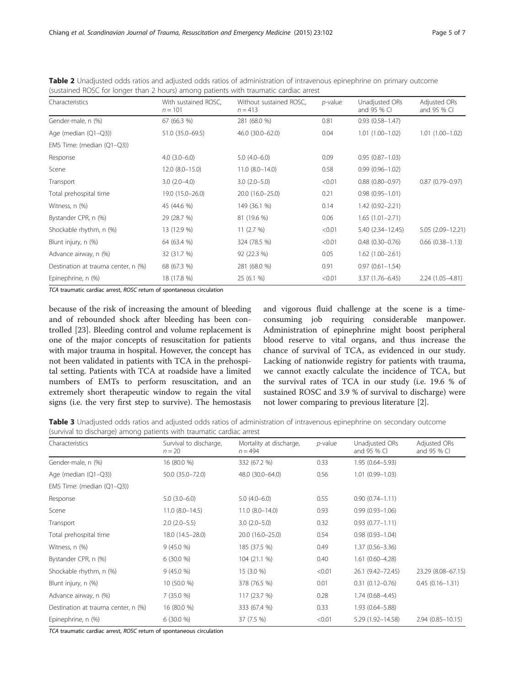| Characteristics                     | With sustained ROSC,<br>$n = 101$ | Without sustained ROSC,<br>$n = 413$ | $p$ -value | Unadjusted ORs<br>and 95 % CI | Adjusted ORs<br>and 95 % CI |
|-------------------------------------|-----------------------------------|--------------------------------------|------------|-------------------------------|-----------------------------|
| Gender-male, n (%)                  | 67 (66.3 %)                       | 281 (68.0 %)                         | 0.81       | $0.93(0.58 - 1.47)$           |                             |
| Age (median (Q1-Q3))                | 51.0 (35.0–69.5)                  | 46.0 (30.0-62.0)                     | 0.04       | $1.01(1.00 - 1.02)$           | $1.01(1.00-1.02)$           |
| EMS Time: (median (Q1-Q3))          |                                   |                                      |            |                               |                             |
| Response                            | $4.0(3.0-6.0)$                    | $5.0(4.0-6.0)$                       | 0.09       | $0.95(0.87 - 1.03)$           |                             |
| Scene                               | $12.0 (8.0 - 15.0)$               | $11.0$ $(8.0-14.0)$                  | 0.58       | $0.99(0.96 - 1.02)$           |                             |
| Transport                           | $3.0(2.0-4.0)$                    | $3.0(2.0-5.0)$                       | < 0.01     | $0.88(0.80 - 0.97)$           | $0.87(0.79 - 0.97)$         |
| Total prehospital time              | 19.0 (15.0-26.0)                  | 20.0 (16.0-25.0)                     | 0.21       | $0.98(0.95 - 1.01)$           |                             |
| Witness, n (%)                      | 45 (44.6 %)                       | 149 (36.1 %)                         | 0.14       | $1.42(0.92 - 2.21)$           |                             |
| Bystander CPR, n (%)                | 29 (28.7 %)                       | 81 (19.6 %)                          | 0.06       | $1.65(1.01 - 2.71)$           |                             |
| Shockable rhythm, n (%)             | 13 (12.9 %)                       | 11 $(2.7%)$                          | < 0.01     | 5.40 (2.34-12.45)             | 5.05 (2.09-12.21)           |
| Blunt injury, n (%)                 | 64 (63.4 %)                       | 324 (78.5 %)                         | < 0.01     | $0.48(0.30 - 0.76)$           | $0.66(0.38 - 1.13)$         |
| Advance airway, n (%)               | 32 (31.7 %)                       | 92 (22.3 %)                          | 0.05       | $1.62(1.00-2.61)$             |                             |
| Destination at trauma center, n (%) | 68 (67.3 %)                       | 281 (68.0 %)                         | 0.91       | $0.97(0.61 - 1.54)$           |                             |
| Epinephrine, n (%)                  | 18 (17.8 %)                       | 25(6.1%                              | < 0.01     | $3.37(1.76 - 6.45)$           | $2.24(1.05 - 4.81)$         |

<span id="page-4-0"></span>Table 2 Unadjusted odds ratios and adjusted odds ratios of administration of intravenous epinephrine on primary outcome (sustained ROSC for longer than 2 hours) among patients with traumatic cardiac arrest

TCA traumatic cardiac arrest, ROSC return of spontaneous circulation

because of the risk of increasing the amount of bleeding and of rebounded shock after bleeding has been controlled [[23\]](#page-6-0). Bleeding control and volume replacement is one of the major concepts of resuscitation for patients with major trauma in hospital. However, the concept has not been validated in patients with TCA in the prehospital setting. Patients with TCA at roadside have a limited numbers of EMTs to perform resuscitation, and an extremely short therapeutic window to regain the vital signs (i.e. the very first step to survive). The hemostasis

and vigorous fluid challenge at the scene is a timeconsuming job requiring considerable manpower. Administration of epinephrine might boost peripheral blood reserve to vital organs, and thus increase the chance of survival of TCA, as evidenced in our study. Lacking of nationwide registry for patients with trauma, we cannot exactly calculate the incidence of TCA, but the survival rates of TCA in our study (i.e. 19.6 % of sustained ROSC and 3.9 % of survival to discharge) were not lower comparing to previous literature [[2\]](#page-6-0).

Table 3 Unadjusted odds ratios and adjusted odds ratios of administration of intravenous epinephrine on secondary outcome (survival to discharge) among patients with traumatic cardiac arrest

| Characteristics                     | Survival to discharge,<br>$n = 20$ | Mortality at discharge,<br>$n = 494$ | p-value | Unadjusted ORs<br>and 95 % Cl | Adjusted ORs<br>and 95 % Cl |
|-------------------------------------|------------------------------------|--------------------------------------|---------|-------------------------------|-----------------------------|
| Gender-male, n (%)                  | 16 (80.0 %)                        | 332 (67.2 %)                         | 0.33    | $1.95(0.64 - 5.93)$           |                             |
| Age (median (Q1-Q3))                | 50.0 (35.0-72.0)                   | 48.0 (30.0-64.0)                     | 0.56    | $1.01(0.99 - 1.03)$           |                             |
| EMS Time: (median (Q1-Q3))          |                                    |                                      |         |                               |                             |
| Response                            | $5.0(3.0-6.0)$                     | $5.0(4.0-6.0)$                       | 0.55    | $0.90(0.74 - 1.11)$           |                             |
| Scene                               | $11.0$ (8.0-14.5)                  | $11.0 (8.0 - 14.0)$                  | 0.93    | $0.99(0.93 - 1.06)$           |                             |
| Transport                           | $2.0$ ( $2.0 - 5.5$ )              | $3.0(2.0-5.0)$                       | 0.32    | $0.93(0.77 - 1.11)$           |                             |
| Total prehospital time              | 18.0 (14.5-28.0)                   | 20.0 (16.0-25.0)                     | 0.54    | $0.98(0.93 - 1.04)$           |                             |
| Witness, n (%)                      | 9(45.0%                            | 185 (37.5 %)                         | 0.49    | $1.37(0.56 - 3.36)$           |                             |
| Bystander CPR, n (%)                | $6(30.0\%)$                        | 104 (21.1 %)                         | 0.40    | $1.61(0.60 - 4.28)$           |                             |
| Shockable rhythm, n (%)             | 9(45.0%                            | 15 (3.0 %)                           | < 0.01  | 26.1 (9.42-72.45)             | 23.29 (8.08-67.15)          |
| Blunt injury, n (%)                 | 10 (50.0 %)                        | 378 (76.5 %)                         | 0.01    | $0.31(0.12 - 0.76)$           | $0.45(0.16 - 1.31)$         |
| Advance airway, n (%)               | 7(35.0%                            | 117 (23.7 %)                         | 0.28    | $1.74(0.68 - 4.45)$           |                             |
| Destination at trauma center, n (%) | 16 (80.0 %)                        | 333 (67.4 %)                         | 0.33    | $1.93(0.64 - 5.88)$           |                             |
| Epinephrine, n (%)                  | $6(30.0\%)$                        | 37 (7.5 %)                           | < 0.01  | 5.29 (1.92-14.58)             | $2.94(0.85 - 10.15)$        |

TCA traumatic cardiac arrest, ROSC return of spontaneous circulation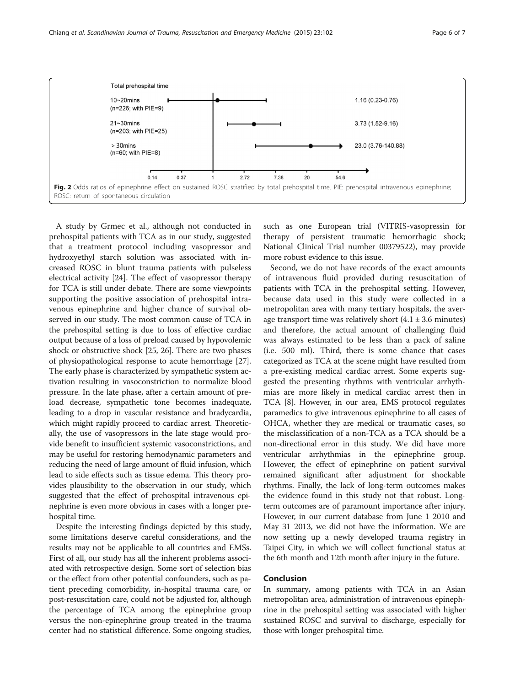<span id="page-5-0"></span>

A study by Grmec et al., although not conducted in prehospital patients with TCA as in our study, suggested that a treatment protocol including vasopressor and hydroxyethyl starch solution was associated with increased ROSC in blunt trauma patients with pulseless electrical activity [[24\]](#page-6-0). The effect of vasopressor therapy for TCA is still under debate. There are some viewpoints supporting the positive association of prehospital intravenous epinephrine and higher chance of survival observed in our study. The most common cause of TCA in the prehospital setting is due to loss of effective cardiac output because of a loss of preload caused by hypovolemic shock or obstructive shock [\[25, 26\]](#page-6-0). There are two phases of physiopathological response to acute hemorrhage [[27](#page-6-0)]. The early phase is characterized by sympathetic system activation resulting in vasoconstriction to normalize blood pressure. In the late phase, after a certain amount of preload decrease, sympathetic tone becomes inadequate, leading to a drop in vascular resistance and bradycardia, which might rapidly proceed to cardiac arrest. Theoretically, the use of vasopressors in the late stage would provide benefit to insufficient systemic vasoconstrictions, and may be useful for restoring hemodynamic parameters and reducing the need of large amount of fluid infusion, which lead to side effects such as tissue edema. This theory provides plausibility to the observation in our study, which suggested that the effect of prehospital intravenous epinephrine is even more obvious in cases with a longer prehospital time.

Despite the interesting findings depicted by this study, some limitations deserve careful considerations, and the results may not be applicable to all countries and EMSs. First of all, our study has all the inherent problems associated with retrospective design. Some sort of selection bias or the effect from other potential confounders, such as patient preceding comorbidity, in-hospital trauma care, or post-resuscitation care, could not be adjusted for, although the percentage of TCA among the epinephrine group versus the non-epinephrine group treated in the trauma center had no statistical difference. Some ongoing studies,

such as one European trial (VITRIS-vasopressin for therapy of persistent traumatic hemorrhagic shock; National Clinical Trial number 00379522), may provide more robust evidence to this issue.

Second, we do not have records of the exact amounts of intravenous fluid provided during resuscitation of patients with TCA in the prehospital setting. However, because data used in this study were collected in a metropolitan area with many tertiary hospitals, the average transport time was relatively short  $(4.1 \pm 3.6 \text{ minutes})$ and therefore, the actual amount of challenging fluid was always estimated to be less than a pack of saline (i.e. 500 ml). Third, there is some chance that cases categorized as TCA at the scene might have resulted from a pre-existing medical cardiac arrest. Some experts suggested the presenting rhythms with ventricular arrhythmias are more likely in medical cardiac arrest then in TCA [\[8\]](#page-6-0). However, in our area, EMS protocol regulates paramedics to give intravenous epinephrine to all cases of OHCA, whether they are medical or traumatic cases, so the misclassification of a non-TCA as a TCA should be a non-directional error in this study. We did have more ventricular arrhythmias in the epinephrine group. However, the effect of epinephrine on patient survival remained significant after adjustment for shockable rhythms. Finally, the lack of long-term outcomes makes the evidence found in this study not that robust. Longterm outcomes are of paramount importance after injury. However, in our current database from June 1 2010 and May 31 2013, we did not have the information. We are now setting up a newly developed trauma registry in Taipei City, in which we will collect functional status at the 6th month and 12th month after injury in the future.

## Conclusion

In summary, among patients with TCA in an Asian metropolitan area, administration of intravenous epinephrine in the prehospital setting was associated with higher sustained ROSC and survival to discharge, especially for those with longer prehospital time.